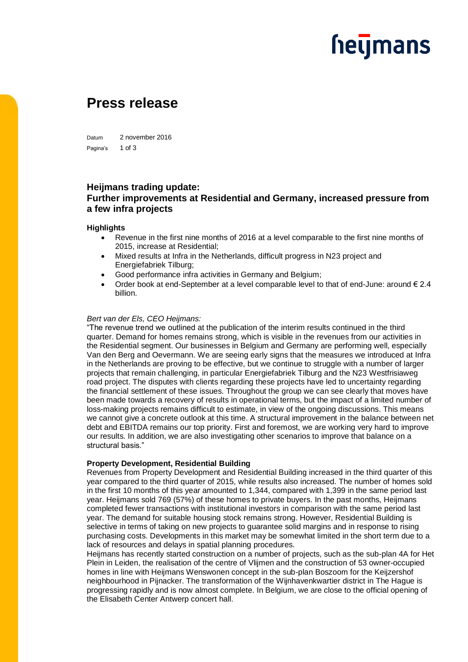# **heymans**

### **Press release**

Datum 2 november 2016 Pagina's 1 of 3

### **Heijmans trading update: Further improvements at Residential and Germany, increased pressure from a few infra projects**

#### **Highlights**

- Revenue in the first nine months of 2016 at a level comparable to the first nine months of 2015, increase at Residential;
- Mixed results at Infra in the Netherlands, difficult progress in N23 project and Energiefabriek Tilburg;
- Good performance infra activities in Germany and Belgium;
- Order book at end-September at a level comparable level to that of end-June: around  $\epsilon$  2.4 billion.

#### *Bert van der Els, CEO Heijmans:*

"The revenue trend we outlined at the publication of the interim results continued in the third quarter. Demand for homes remains strong, which is visible in the revenues from our activities in the Residential segment. Our businesses in Belgium and Germany are performing well, especially Van den Berg and Oevermann. We are seeing early signs that the measures we introduced at Infra in the Netherlands are proving to be effective, but we continue to struggle with a number of larger projects that remain challenging, in particular Energiefabriek Tilburg and the N23 Westfrisiaweg road project. The disputes with clients regarding these projects have led to uncertainty regarding the financial settlement of these issues. Throughout the group we can see clearly that moves have been made towards a recovery of results in operational terms, but the impact of a limited number of loss-making projects remains difficult to estimate, in view of the ongoing discussions. This means we cannot give a concrete outlook at this time. A structural improvement in the balance between net debt and EBITDA remains our top priority. First and foremost, we are working very hard to improve our results. In addition, we are also investigating other scenarios to improve that balance on a structural basis."

#### **Property Development, Residential Building**

Revenues from Property Development and Residential Building increased in the third quarter of this year compared to the third quarter of 2015, while results also increased. The number of homes sold in the first 10 months of this year amounted to 1,344, compared with 1,399 in the same period last year. Heijmans sold 769 (57%) of these homes to private buyers. In the past months, Heijmans completed fewer transactions with institutional investors in comparison with the same period last year. The demand for suitable housing stock remains strong. However, Residential Building is selective in terms of taking on new projects to guarantee solid margins and in response to rising purchasing costs. Developments in this market may be somewhat limited in the short term due to a lack of resources and delays in spatial planning procedures.

Heijmans has recently started construction on a number of projects, such as the sub-plan 4A for Het Plein in Leiden, the realisation of the centre of Vlijmen and the construction of 53 owner-occupied homes in line with Heijmans Wenswonen concept in the sub-plan Boszoom for the Keijzershof neighbourhood in Pijnacker. The transformation of the Wijnhavenkwartier district in The Hague is progressing rapidly and is now almost complete. In Belgium, we are close to the official opening of the Elisabeth Center Antwerp concert hall.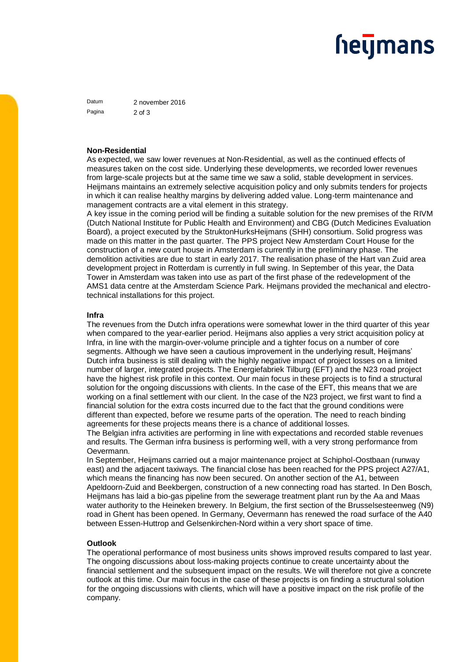# **heymans**

Datum 2 november 2016 Pagina 2 of 3

#### **Non-Residential**

As expected, we saw lower revenues at Non-Residential, as well as the continued effects of measures taken on the cost side. Underlying these developments, we recorded lower revenues from large-scale projects but at the same time we saw a solid, stable development in services. Heijmans maintains an extremely selective acquisition policy and only submits tenders for projects in which it can realise healthy margins by delivering added value. Long-term maintenance and management contracts are a vital element in this strategy.

A key issue in the coming period will be finding a suitable solution for the new premises of the RIVM (Dutch National Institute for Public Health and Environment) and CBG (Dutch Medicines Evaluation Board), a project executed by the StruktonHurksHeijmans (SHH) consortium. Solid progress was made on this matter in the past quarter. The PPS project New Amsterdam Court House for the construction of a new court house in Amsterdam is currently in the preliminary phase. The demolition activities are due to start in early 2017. The realisation phase of the Hart van Zuid area development project in Rotterdam is currently in full swing. In September of this year, the Data Tower in Amsterdam was taken into use as part of the first phase of the redevelopment of the AMS1 data centre at the Amsterdam Science Park. Heijmans provided the mechanical and electrotechnical installations for this project.

#### **Infra**

The revenues from the Dutch infra operations were somewhat lower in the third quarter of this year when compared to the year-earlier period. Heijmans also applies a very strict acquisition policy at Infra, in line with the margin-over-volume principle and a tighter focus on a number of core segments. Although we have seen a cautious improvement in the underlying result, Heijmans' Dutch infra business is still dealing with the highly negative impact of project losses on a limited number of larger, integrated projects. The Energiefabriek Tilburg (EFT) and the N23 road project have the highest risk profile in this context. Our main focus in these projects is to find a structural solution for the ongoing discussions with clients. In the case of the EFT, this means that we are working on a final settlement with our client. In the case of the N23 project, we first want to find a financial solution for the extra costs incurred due to the fact that the ground conditions were different than expected, before we resume parts of the operation. The need to reach binding agreements for these projects means there is a chance of additional losses.

The Belgian infra activities are performing in line with expectations and recorded stable revenues and results. The German infra business is performing well, with a very strong performance from Oevermann.

In September, Heijmans carried out a major maintenance project at Schiphol-Oostbaan (runway east) and the adjacent taxiways. The financial close has been reached for the PPS project A27/A1, which means the financing has now been secured. On another section of the A1, between Apeldoorn-Zuid and Beekbergen, construction of a new connecting road has started. In Den Bosch, Heijmans has laid a bio-gas pipeline from the sewerage treatment plant run by the Aa and Maas water authority to the Heineken brewery. In Belgium, the first section of the Brusselsesteenweg (N9) road in Ghent has been opened. In Germany, Oevermann has renewed the road surface of the A40 between Essen-Huttrop and Gelsenkirchen-Nord within a very short space of time.

#### **Outlook**

The operational performance of most business units shows improved results compared to last year. The ongoing discussions about loss-making projects continue to create uncertainty about the financial settlement and the subsequent impact on the results. We will therefore not give a concrete outlook at this time. Our main focus in the case of these projects is on finding a structural solution for the ongoing discussions with clients, which will have a positive impact on the risk profile of the company.